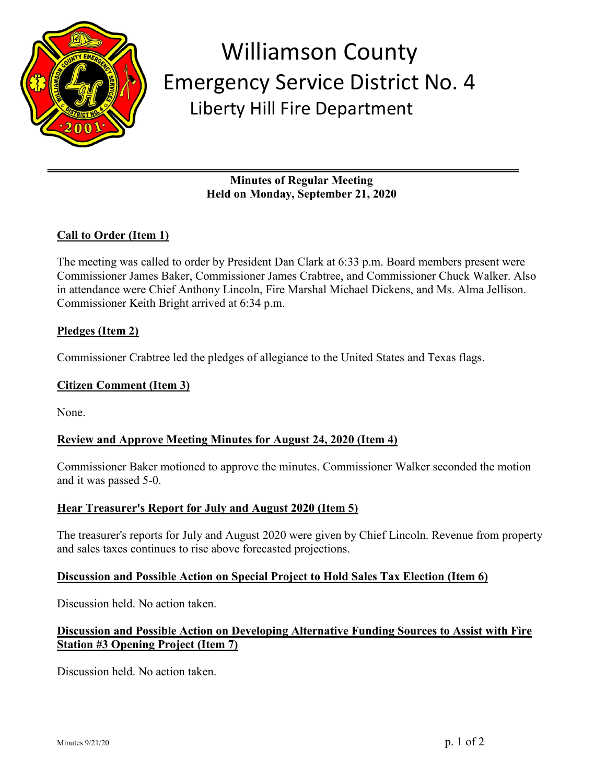

# Williamson County Emergency Service District No. 4 Liberty Hill Fire Department

**Minutes of Regular Meeting Held on Monday, September 21, 2020**

# **Call to Order (Item 1)**

The meeting was called to order by President Dan Clark at 6:33 p.m. Board members present were Commissioner James Baker, Commissioner James Crabtree, and Commissioner Chuck Walker. Also in attendance were Chief Anthony Lincoln, Fire Marshal Michael Dickens, and Ms. Alma Jellison. Commissioner Keith Bright arrived at 6:34 p.m.

## **Pledges (Item 2)**

Commissioner Crabtree led the pledges of allegiance to the United States and Texas flags.

### **Citizen Comment (Item 3)**

None.

## **Review and Approve Meeting Minutes for August 24, 2020 (Item 4)**

Commissioner Baker motioned to approve the minutes. Commissioner Walker seconded the motion and it was passed 5-0.

## **Hear Treasurer's Report for July and August 2020 (Item 5)**

The treasurer's reports for July and August 2020 were given by Chief Lincoln. Revenue from property and sales taxes continues to rise above forecasted projections.

#### **Discussion and Possible Action on Special Project to Hold Sales Tax Election (Item 6)**

Discussion held. No action taken.

# **Discussion and Possible Action on Developing Alternative Funding Sources to Assist with Fire Station #3 Opening Project (Item 7)**

Discussion held. No action taken.